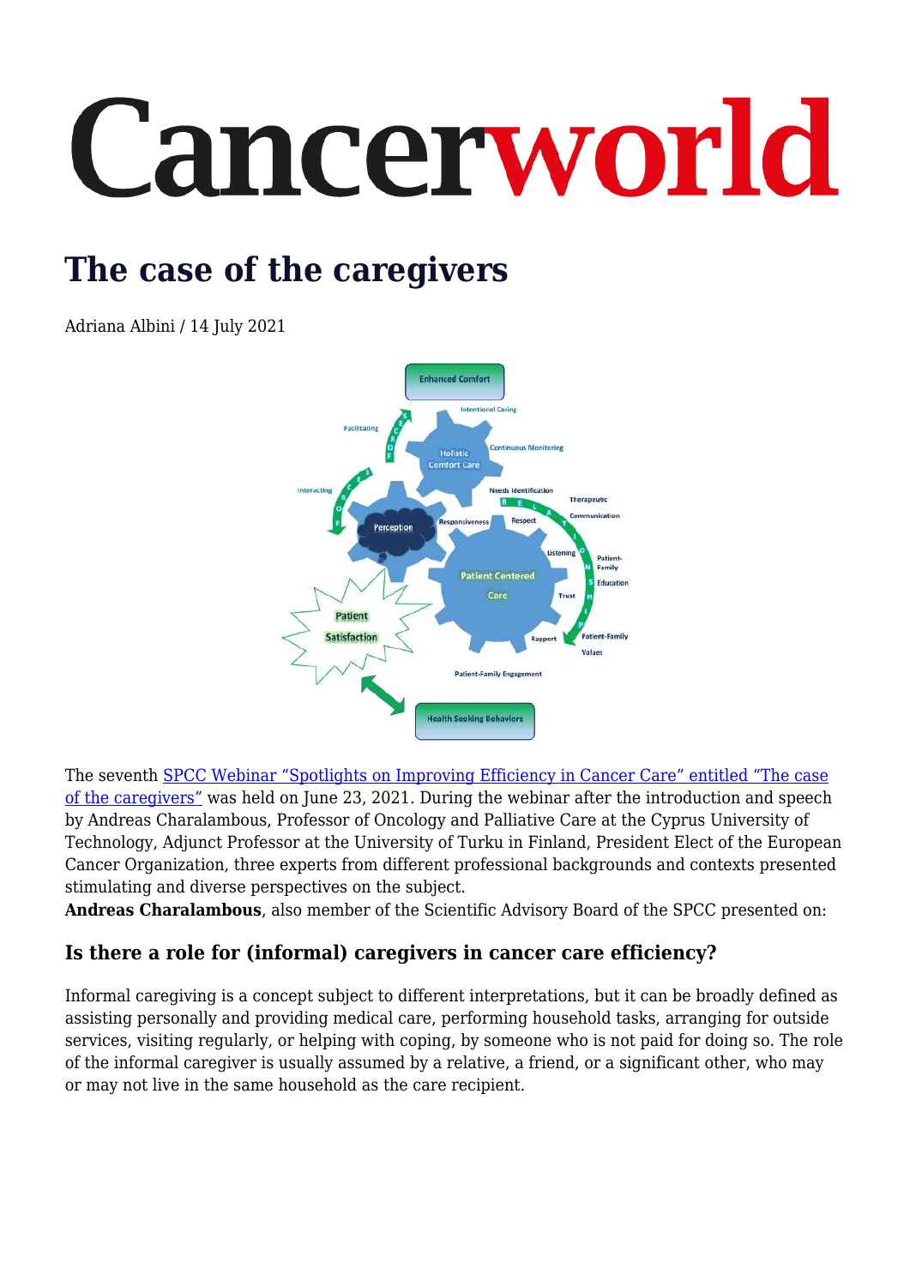# Cancerworld

## **The case of the caregivers**

Adriana Albini / 14 July 2021



The seventh [SPCC Webinar "Spotlights on Improving Efficiency in Cancer Care" entitled "The case](https://www.oncocorner.net/webinars/191?utm_source=CW&utm_medium=website&utm_campaign=EventsPage) [of the caregivers"](https://www.oncocorner.net/webinars/191?utm_source=CW&utm_medium=website&utm_campaign=EventsPage) was held on June 23, 2021. During the webinar after the introduction and speech by Andreas Charalambous, Professor of Oncology and Palliative Care at the Cyprus University of Technology, Adjunct Professor at the University of Turku in Finland, President Elect of the European Cancer Organization, three experts from different professional backgrounds and contexts presented stimulating and diverse perspectives on the subject.

**Andreas Charalambous**, also member of the Scientific Advisory Board of the SPCC presented on:

### **Is there a role for (informal) caregivers in cancer care efficiency?**

Informal caregiving is a concept subject to different interpretations, but it can be broadly defined as assisting personally and providing medical care, performing household tasks, arranging for outside services, visiting regularly, or helping with coping, by someone who is not paid for doing so. The role of the informal caregiver is usually assumed by a relative, a friend, or a significant other, who may or may not live in the same household as the care recipient.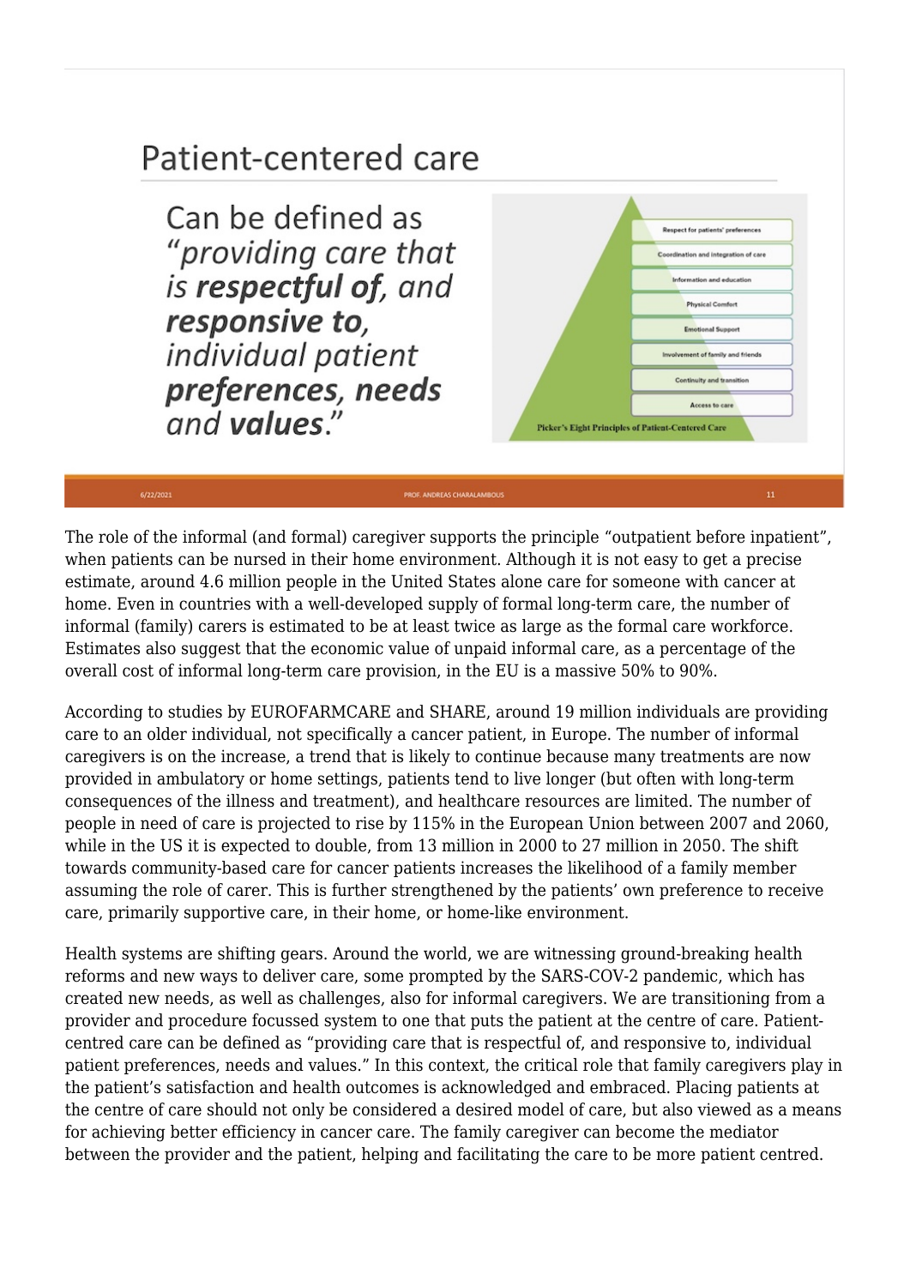

The role of the informal (and formal) caregiver supports the principle "outpatient before inpatient", when patients can be nursed in their home environment. Although it is not easy to get a precise estimate, around 4.6 million people in the United States alone care for someone with cancer at home. Even in countries with a well-developed supply of formal long-term care, the number of informal (family) carers is estimated to be at least twice as large as the formal care workforce. Estimates also suggest that the economic value of unpaid informal care, as a percentage of the overall cost of informal long-term care provision, in the EU is a massive 50% to 90%.

According to studies by EUROFARMCARE and SHARE, around 19 million individuals are providing care to an older individual, not specifically a cancer patient, in Europe. The number of informal caregivers is on the increase, a trend that is likely to continue because many treatments are now provided in ambulatory or home settings, patients tend to live longer (but often with long-term consequences of the illness and treatment), and healthcare resources are limited. The number of people in need of care is projected to rise by 115% in the European Union between 2007 and 2060, while in the US it is expected to double, from 13 million in 2000 to 27 million in 2050. The shift towards community-based care for cancer patients increases the likelihood of a family member assuming the role of carer. This is further strengthened by the patients' own preference to receive care, primarily supportive care, in their home, or home-like environment.

Health systems are shifting gears. Around the world, we are witnessing ground-breaking health reforms and new ways to deliver care, some prompted by the SARS-COV-2 pandemic, which has created new needs, as well as challenges, also for informal caregivers. We are transitioning from a provider and procedure focussed system to one that puts the patient at the centre of care. Patientcentred care can be defined as "providing care that is respectful of, and responsive to, individual patient preferences, needs and values." In this context, the critical role that family caregivers play in the patient's satisfaction and health outcomes is acknowledged and embraced. Placing patients at the centre of care should not only be considered a desired model of care, but also viewed as a means for achieving better efficiency in cancer care. The family caregiver can become the mediator between the provider and the patient, helping and facilitating the care to be more patient centred.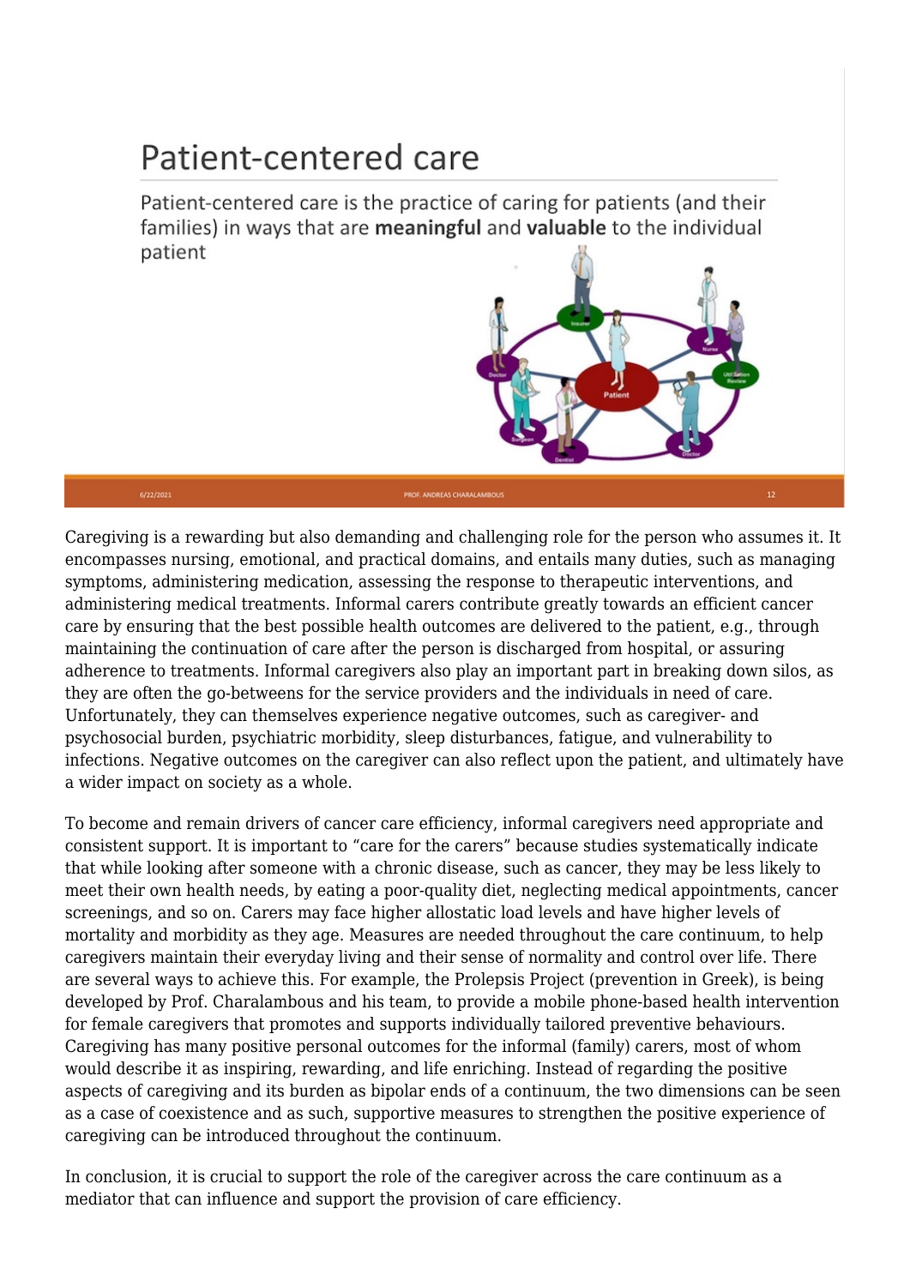## Patient-centered care

Patient-centered care is the practice of caring for patients (and their families) in ways that are meaningful and valuable to the individual patient



Caregiving is a rewarding but also demanding and challenging role for the person who assumes it. It encompasses nursing, emotional, and practical domains, and entails many duties, such as managing symptoms, administering medication, assessing the response to therapeutic interventions, and administering medical treatments. Informal carers contribute greatly towards an efficient cancer care by ensuring that the best possible health outcomes are delivered to the patient, e.g., through maintaining the continuation of care after the person is discharged from hospital, or assuring adherence to treatments. Informal caregivers also play an important part in breaking down silos, as they are often the go-betweens for the service providers and the individuals in need of care. Unfortunately, they can themselves experience negative outcomes, such as caregiver- and psychosocial burden, psychiatric morbidity, sleep disturbances, fatigue, and vulnerability to infections. Negative outcomes on the caregiver can also reflect upon the patient, and ultimately have a wider impact on society as a whole.

To become and remain drivers of cancer care efficiency, informal caregivers need appropriate and consistent support. It is important to "care for the carers" because studies systematically indicate that while looking after someone with a chronic disease, such as cancer, they may be less likely to meet their own health needs, by eating a poor-quality diet, neglecting medical appointments, cancer screenings, and so on. Carers may face higher allostatic load levels and have higher levels of mortality and morbidity as they age. Measures are needed throughout the care continuum, to help caregivers maintain their everyday living and their sense of normality and control over life. There are several ways to achieve this. For example, the Prolepsis Project (prevention in Greek), is being developed by Prof. Charalambous and his team, to provide a mobile phone-based health intervention for female caregivers that promotes and supports individually tailored preventive behaviours. Caregiving has many positive personal outcomes for the informal (family) carers, most of whom would describe it as inspiring, rewarding, and life enriching. Instead of regarding the positive aspects of caregiving and its burden as bipolar ends of a continuum, the two dimensions can be seen as a case of coexistence and as such, supportive measures to strengthen the positive experience of caregiving can be introduced throughout the continuum.

In conclusion, it is crucial to support the role of the caregiver across the care continuum as a mediator that can influence and support the provision of care efficiency.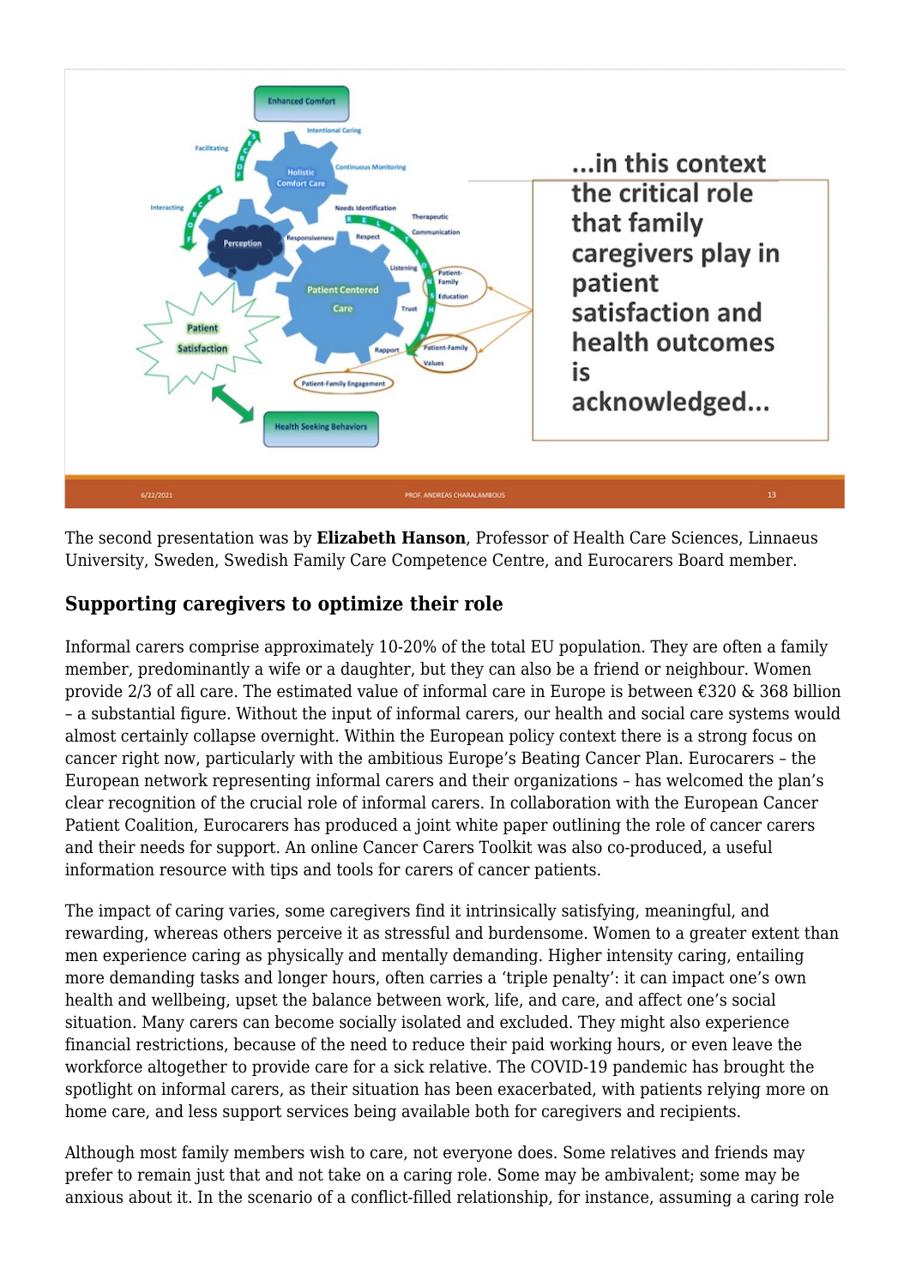

The second presentation was by **Elizabeth Hanson**, Professor of Health Care Sciences, Linnaeus University, Sweden, Swedish Family Care Competence Centre, and Eurocarers Board member.

#### **Supporting caregivers to optimize their role**

Informal carers comprise approximately 10-20% of the total EU population. They are often a family member, predominantly a wife or a daughter, but they can also be a friend or neighbour. Women provide 2/3 of all care. The estimated value of informal care in Europe is between €320 & 368 billion – a substantial figure. Without the input of informal carers, our health and social care systems would almost certainly collapse overnight. Within the European policy context there is a strong focus on cancer right now, particularly with the ambitious Europe's Beating Cancer Plan. Eurocarers – the European network representing informal carers and their organizations – has welcomed the plan's clear recognition of the crucial role of informal carers. In collaboration with the European Cancer Patient Coalition, Eurocarers has produced a joint white paper outlining the role of cancer carers and their needs for support. An online Cancer Carers Toolkit was also co-produced, a useful information resource with tips and tools for carers of cancer patients.

The impact of caring varies, some caregivers find it intrinsically satisfying, meaningful, and rewarding, whereas others perceive it as stressful and burdensome. Women to a greater extent than men experience caring as physically and mentally demanding. Higher intensity caring, entailing more demanding tasks and longer hours, often carries a 'triple penalty': it can impact one's own health and wellbeing, upset the balance between work, life, and care, and affect one's social situation. Many carers can become socially isolated and excluded. They might also experience financial restrictions, because of the need to reduce their paid working hours, or even leave the workforce altogether to provide care for a sick relative. The COVID-19 pandemic has brought the spotlight on informal carers, as their situation has been exacerbated, with patients relying more on home care, and less support services being available both for caregivers and recipients.

Although most family members wish to care, not everyone does. Some relatives and friends may prefer to remain just that and not take on a caring role. Some may be ambivalent; some may be anxious about it. In the scenario of a conflict-filled relationship, for instance, assuming a caring role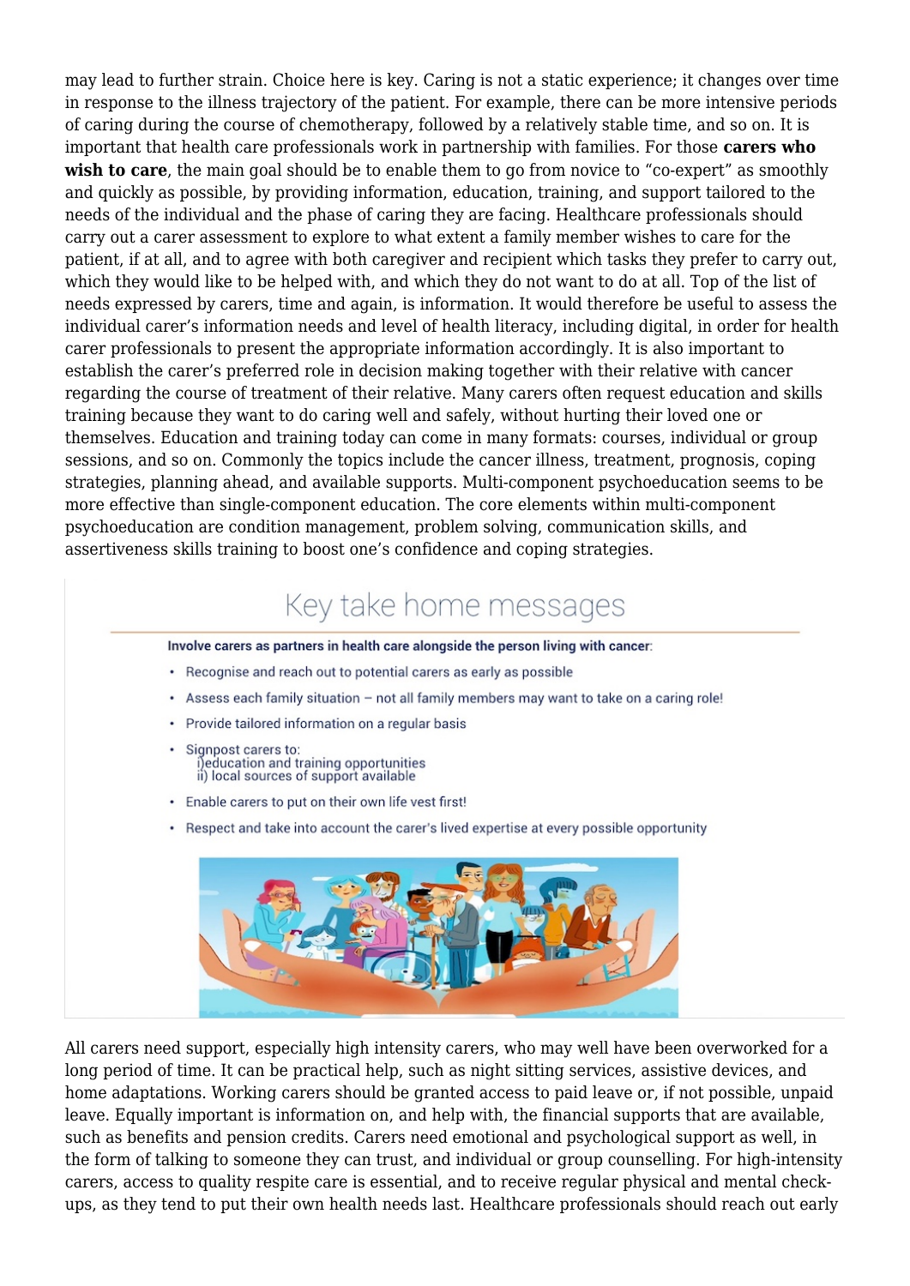may lead to further strain. Choice here is key. Caring is not a static experience; it changes over time in response to the illness trajectory of the patient. For example, there can be more intensive periods of caring during the course of chemotherapy, followed by a relatively stable time, and so on. It is important that health care professionals work in partnership with families. For those **carers who** wish to care, the main goal should be to enable them to go from novice to "co-expert" as smoothly and quickly as possible, by providing information, education, training, and support tailored to the needs of the individual and the phase of caring they are facing. Healthcare professionals should carry out a carer assessment to explore to what extent a family member wishes to care for the patient, if at all, and to agree with both caregiver and recipient which tasks they prefer to carry out, which they would like to be helped with, and which they do not want to do at all. Top of the list of needs expressed by carers, time and again, is information. It would therefore be useful to assess the individual carer's information needs and level of health literacy, including digital, in order for health carer professionals to present the appropriate information accordingly. It is also important to establish the carer's preferred role in decision making together with their relative with cancer regarding the course of treatment of their relative. Many carers often request education and skills training because they want to do caring well and safely, without hurting their loved one or themselves. Education and training today can come in many formats: courses, individual or group sessions, and so on. Commonly the topics include the cancer illness, treatment, prognosis, coping strategies, planning ahead, and available supports. Multi-component psychoeducation seems to be more effective than single-component education. The core elements within multi-component psychoeducation are condition management, problem solving, communication skills, and assertiveness skills training to boost one's confidence and coping strategies.

## Key take home messages

Involve carers as partners in health care alongside the person living with cancer:

- Recognise and reach out to potential carers as early as possible
- . Assess each family situation not all family members may want to take on a caring role!
- Provide tailored information on a regular basis
- Signpost carers to: i)<br>education and training opportunities<br>ii) local sources of support available
- Enable carers to put on their own life vest first!
- Respect and take into account the carer's lived expertise at every possible opportunity



All carers need support, especially high intensity carers, who may well have been overworked for a long period of time. It can be practical help, such as night sitting services, assistive devices, and home adaptations. Working carers should be granted access to paid leave or, if not possible, unpaid leave. Equally important is information on, and help with, the financial supports that are available, such as benefits and pension credits. Carers need emotional and psychological support as well, in the form of talking to someone they can trust, and individual or group counselling. For high-intensity carers, access to quality respite care is essential, and to receive regular physical and mental checkups, as they tend to put their own health needs last. Healthcare professionals should reach out early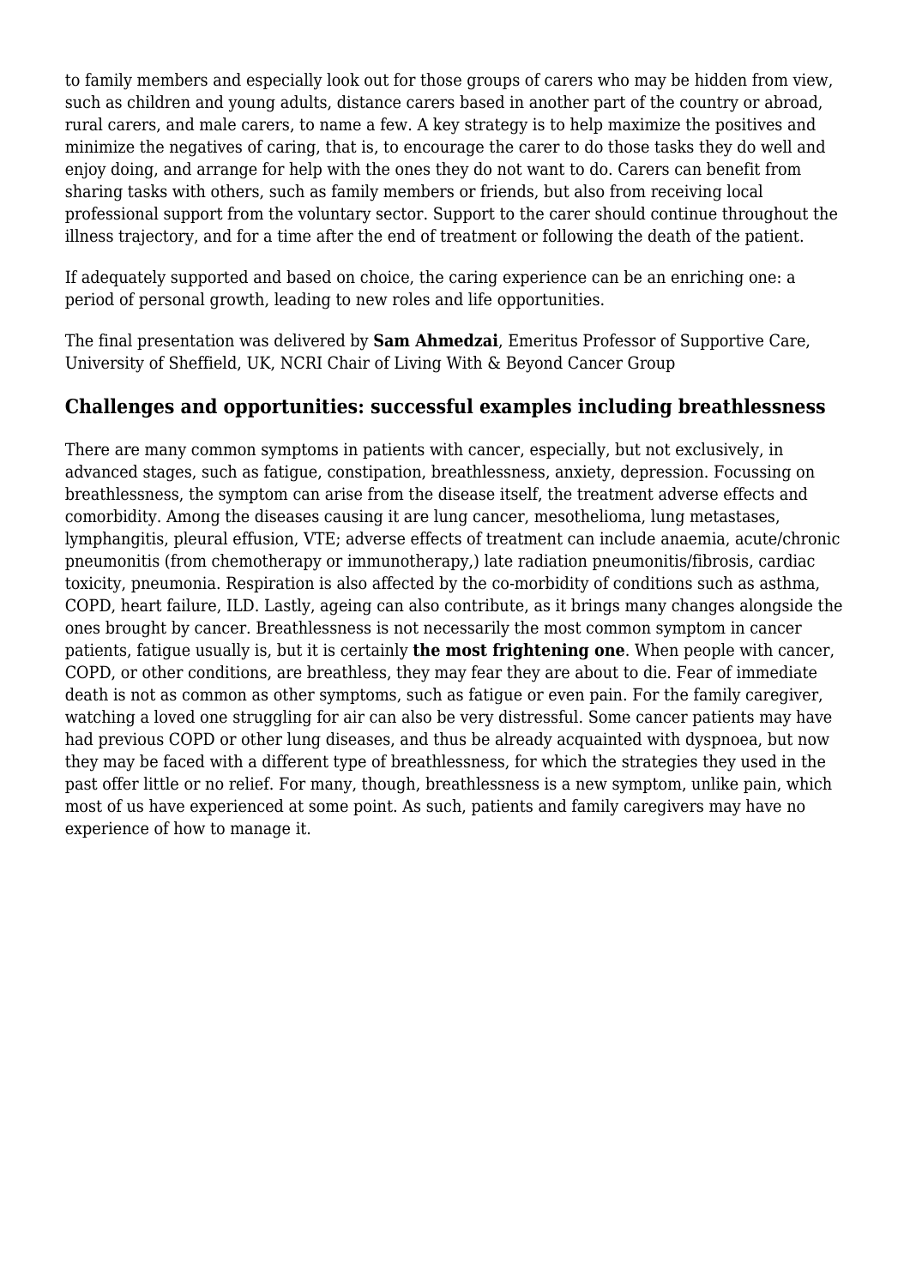to family members and especially look out for those groups of carers who may be hidden from view, such as children and young adults, distance carers based in another part of the country or abroad, rural carers, and male carers, to name a few. A key strategy is to help maximize the positives and minimize the negatives of caring, that is, to encourage the carer to do those tasks they do well and enjoy doing, and arrange for help with the ones they do not want to do. Carers can benefit from sharing tasks with others, such as family members or friends, but also from receiving local professional support from the voluntary sector. Support to the carer should continue throughout the illness trajectory, and for a time after the end of treatment or following the death of the patient.

If adequately supported and based on choice, the caring experience can be an enriching one: a period of personal growth, leading to new roles and life opportunities.

The final presentation was delivered by **Sam Ahmedzai**, Emeritus Professor of Supportive Care, University of Sheffield, UK, NCRI Chair of Living With & Beyond Cancer Group

#### **Challenges and opportunities: successful examples including breathlessness**

There are many common symptoms in patients with cancer, especially, but not exclusively, in advanced stages, such as fatigue, constipation, breathlessness, anxiety, depression. Focussing on breathlessness, the symptom can arise from the disease itself, the treatment adverse effects and comorbidity. Among the diseases causing it are lung cancer, mesothelioma, lung metastases, lymphangitis, pleural effusion, VTE; adverse effects of treatment can include anaemia, acute/chronic pneumonitis (from chemotherapy or immunotherapy,) late radiation pneumonitis/fibrosis, cardiac toxicity, pneumonia. Respiration is also affected by the co-morbidity of conditions such as asthma, COPD, heart failure, ILD. Lastly, ageing can also contribute, as it brings many changes alongside the ones brought by cancer. Breathlessness is not necessarily the most common symptom in cancer patients, fatigue usually is, but it is certainly **the most frightening one**. When people with cancer, COPD, or other conditions, are breathless, they may fear they are about to die. Fear of immediate death is not as common as other symptoms, such as fatigue or even pain. For the family caregiver, watching a loved one struggling for air can also be very distressful. Some cancer patients may have had previous COPD or other lung diseases, and thus be already acquainted with dyspnoea, but now they may be faced with a different type of breathlessness, for which the strategies they used in the past offer little or no relief. For many, though, breathlessness is a new symptom, unlike pain, which most of us have experienced at some point. As such, patients and family caregivers may have no experience of how to manage it.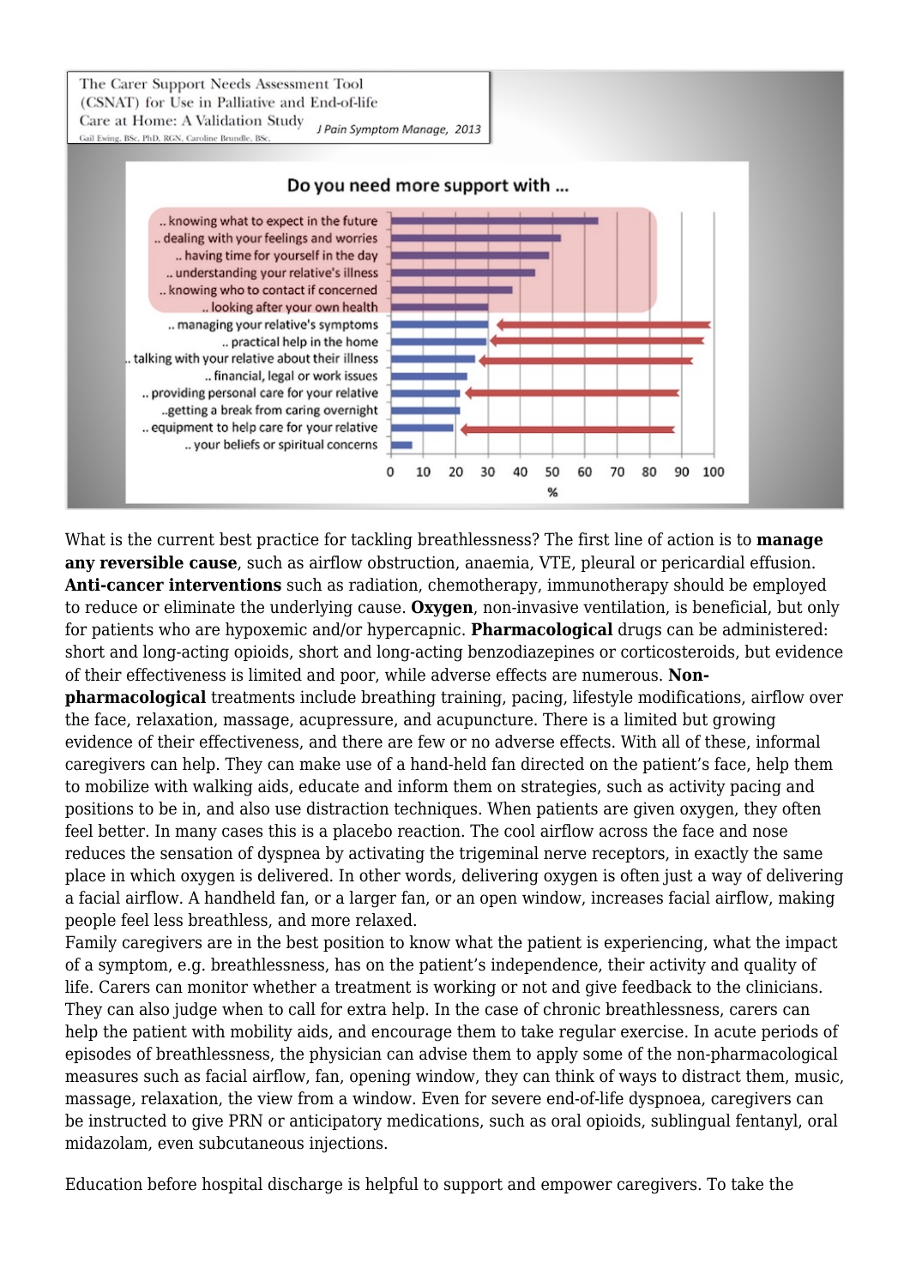

What is the current best practice for tackling breathlessness? The first line of action is to **manage any reversible cause**, such as airflow obstruction, anaemia, VTE, pleural or pericardial effusion. **Anti-cancer interventions** such as radiation, chemotherapy, immunotherapy should be employed to reduce or eliminate the underlying cause. **Oxygen**, non-invasive ventilation, is beneficial, but only for patients who are hypoxemic and/or hypercapnic. **Pharmacological** drugs can be administered: short and long-acting opioids, short and long-acting benzodiazepines or corticosteroids, but evidence of their effectiveness is limited and poor, while adverse effects are numerous. **Non-**

**pharmacological** treatments include breathing training, pacing, lifestyle modifications, airflow over the face, relaxation, massage, acupressure, and acupuncture. There is a limited but growing evidence of their effectiveness, and there are few or no adverse effects. With all of these, informal caregivers can help. They can make use of a hand-held fan directed on the patient's face, help them to mobilize with walking aids, educate and inform them on strategies, such as activity pacing and positions to be in, and also use distraction techniques. When patients are given oxygen, they often feel better. In many cases this is a placebo reaction. The cool airflow across the face and nose reduces the sensation of dyspnea by activating the trigeminal nerve receptors, in exactly the same place in which oxygen is delivered. In other words, delivering oxygen is often just a way of delivering a facial airflow. A handheld fan, or a larger fan, or an open window, increases facial airflow, making people feel less breathless, and more relaxed.

Family caregivers are in the best position to know what the patient is experiencing, what the impact of a symptom, e.g. breathlessness, has on the patient's independence, their activity and quality of life. Carers can monitor whether a treatment is working or not and give feedback to the clinicians. They can also judge when to call for extra help. In the case of chronic breathlessness, carers can help the patient with mobility aids, and encourage them to take regular exercise. In acute periods of episodes of breathlessness, the physician can advise them to apply some of the non-pharmacological measures such as facial airflow, fan, opening window, they can think of ways to distract them, music, massage, relaxation, the view from a window. Even for severe end-of-life dyspnoea, caregivers can be instructed to give PRN or anticipatory medications, such as oral opioids, sublingual fentanyl, oral midazolam, even subcutaneous injections.

Education before hospital discharge is helpful to support and empower caregivers. To take the